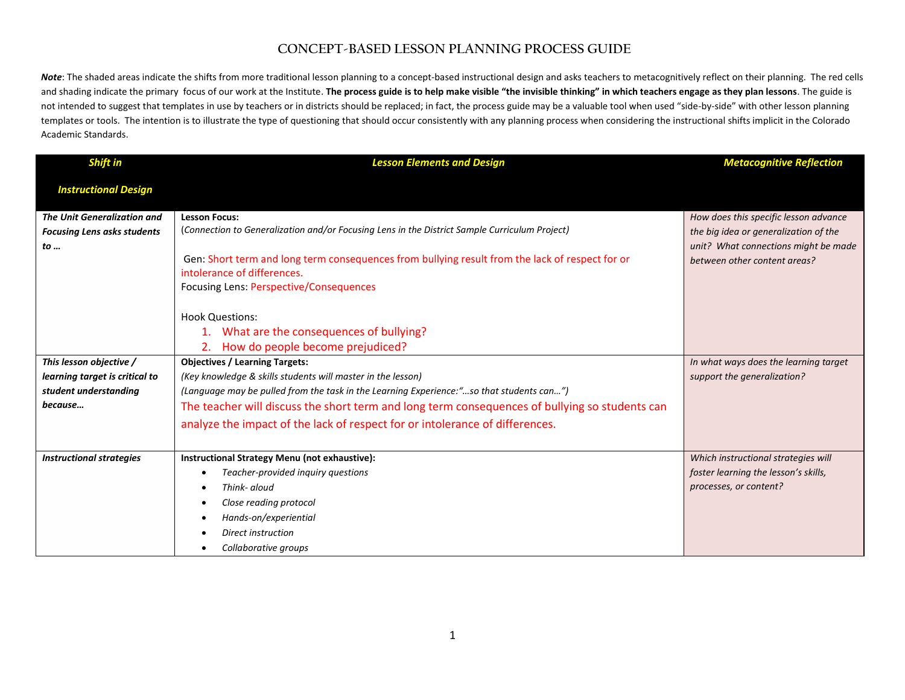## **CONCEPT-BASED LESSON PLANNING PROCESS GUIDE**

Note: The shaded areas indicate the shifts from more traditional lesson planning to a concept-based instructional design and asks teachers to metacognitively reflect on their planning. The red cells and shading indicate the primary focus of our work at the Institute. **The process guide is to help make visible "the invisible thinking" in which teachers engage as they plan lessons**. The guide is not intended to suggest that templates in use by teachers or in districts should be replaced; in fact, the process guide may be a valuable tool when used "side-by-side" with other lesson planning templates or tools. The intention is to illustrate the type of questioning that should occur consistently with any planning process when considering the instructional shifts implicit in the Colorado Academic Standards.

| <b>Shift in</b>                    | <b>Lesson Elements and Design</b>                                                                                              | <b>Metacognitive Reflection</b>                                      |
|------------------------------------|--------------------------------------------------------------------------------------------------------------------------------|----------------------------------------------------------------------|
| <b>Instructional Design</b>        |                                                                                                                                |                                                                      |
| <b>The Unit Generalization and</b> | <b>Lesson Focus:</b>                                                                                                           | How does this specific lesson advance                                |
| <b>Focusing Lens asks students</b> | (Connection to Generalization and/or Focusing Lens in the District Sample Curriculum Project)                                  | the big idea or generalization of the                                |
| to                                 | Gen: Short term and long term consequences from bullying result from the lack of respect for or<br>intolerance of differences. | unit? What connections might be made<br>between other content areas? |
|                                    | Focusing Lens: Perspective/Consequences                                                                                        |                                                                      |
|                                    | <b>Hook Questions:</b><br>1. What are the consequences of bullying?<br>How do people become prejudiced?                        |                                                                      |
| This lesson objective /            | <b>Objectives / Learning Targets:</b>                                                                                          | In what ways does the learning target                                |
| learning target is critical to     | (Key knowledge & skills students will master in the lesson)                                                                    | support the generalization?                                          |
| student understanding              | (Language may be pulled from the task in the Learning Experience:"so that students can")                                       |                                                                      |
| because                            | The teacher will discuss the short term and long term consequences of bullying so students can                                 |                                                                      |
|                                    | analyze the impact of the lack of respect for or intolerance of differences.                                                   |                                                                      |
|                                    |                                                                                                                                |                                                                      |
| <b>Instructional strategies</b>    | Instructional Strategy Menu (not exhaustive):                                                                                  | Which instructional strategies will                                  |
|                                    | Teacher-provided inquiry questions                                                                                             | foster learning the lesson's skills,                                 |
|                                    | Think- aloud                                                                                                                   | processes, or content?                                               |
|                                    | Close reading protocol                                                                                                         |                                                                      |
|                                    | Hands-on/experiential                                                                                                          |                                                                      |
|                                    | Direct instruction                                                                                                             |                                                                      |
|                                    | Collaborative groups                                                                                                           |                                                                      |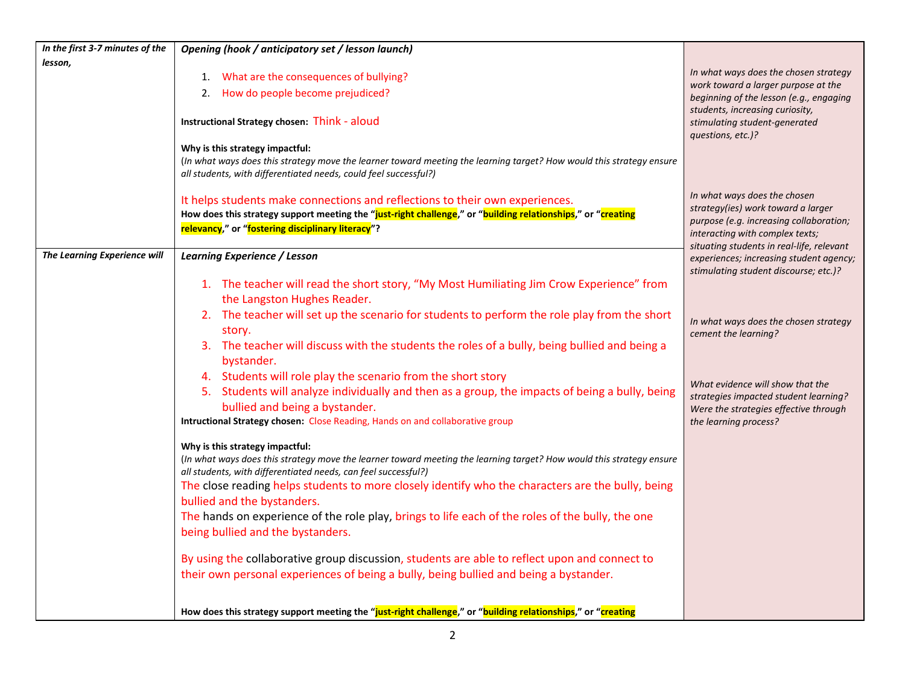| In the first 3-7 minutes of the | Opening (hook / anticipatory set / lesson launch)                                                                                                                                                                                                                                                                                                                                                                                                                                                                                                                                                                                                                                                                                                                                                                |                                                                                                                                                                                               |
|---------------------------------|------------------------------------------------------------------------------------------------------------------------------------------------------------------------------------------------------------------------------------------------------------------------------------------------------------------------------------------------------------------------------------------------------------------------------------------------------------------------------------------------------------------------------------------------------------------------------------------------------------------------------------------------------------------------------------------------------------------------------------------------------------------------------------------------------------------|-----------------------------------------------------------------------------------------------------------------------------------------------------------------------------------------------|
| lesson,                         | 1. What are the consequences of bullying?                                                                                                                                                                                                                                                                                                                                                                                                                                                                                                                                                                                                                                                                                                                                                                        | In what ways does the chosen strategy                                                                                                                                                         |
|                                 | How do people become prejudiced?<br>2.                                                                                                                                                                                                                                                                                                                                                                                                                                                                                                                                                                                                                                                                                                                                                                           | work toward a larger purpose at the<br>beginning of the lesson (e.g., engaging                                                                                                                |
|                                 | Instructional Strategy chosen: Think - aloud                                                                                                                                                                                                                                                                                                                                                                                                                                                                                                                                                                                                                                                                                                                                                                     | students, increasing curiosity,<br>stimulating student-generated<br>questions, etc.)?                                                                                                         |
|                                 | Why is this strategy impactful:<br>(In what ways does this strategy move the learner toward meeting the learning target? How would this strategy ensure<br>all students, with differentiated needs, could feel successful?)                                                                                                                                                                                                                                                                                                                                                                                                                                                                                                                                                                                      |                                                                                                                                                                                               |
|                                 | It helps students make connections and reflections to their own experiences.<br>How does this strategy support meeting the "just-right challenge," or "building relationships," or "creating<br>relevancy," or "fostering disciplinary literacy"?                                                                                                                                                                                                                                                                                                                                                                                                                                                                                                                                                                | In what ways does the chosen<br>strategy(ies) work toward a larger<br>purpose (e.g. increasing collaboration;<br>interacting with complex texts;<br>situating students in real-life, relevant |
| The Learning Experience will    | <b>Learning Experience / Lesson</b>                                                                                                                                                                                                                                                                                                                                                                                                                                                                                                                                                                                                                                                                                                                                                                              | experiences; increasing student agency;                                                                                                                                                       |
|                                 | 1. The teacher will read the short story, "My Most Humiliating Jim Crow Experience" from<br>the Langston Hughes Reader.<br>2. The teacher will set up the scenario for students to perform the role play from the short<br>story.<br>3. The teacher will discuss with the students the roles of a bully, being bullied and being a<br>bystander.                                                                                                                                                                                                                                                                                                                                                                                                                                                                 | stimulating student discourse; etc.)?<br>In what ways does the chosen strategy<br>cement the learning?                                                                                        |
|                                 | 4. Students will role play the scenario from the short story<br>5. Students will analyze individually and then as a group, the impacts of being a bully, being<br>bullied and being a bystander.<br>Intructional Strategy chosen: Close Reading, Hands on and collaborative group                                                                                                                                                                                                                                                                                                                                                                                                                                                                                                                                | What evidence will show that the<br>strategies impacted student learning?<br>Were the strategies effective through<br>the learning process?                                                   |
|                                 | Why is this strategy impactful:<br>(In what ways does this strategy move the learner toward meeting the learning target? How would this strategy ensure<br>all students, with differentiated needs, can feel successful?)<br>The close reading helps students to more closely identify who the characters are the bully, being<br>bullied and the bystanders.<br>The hands on experience of the role play, brings to life each of the roles of the bully, the one<br>being bullied and the bystanders.<br>By using the collaborative group discussion, students are able to reflect upon and connect to<br>their own personal experiences of being a bully, being bullied and being a bystander.<br>How does this strategy support meeting the "just-right challenge," or "building relationships," or "creating |                                                                                                                                                                                               |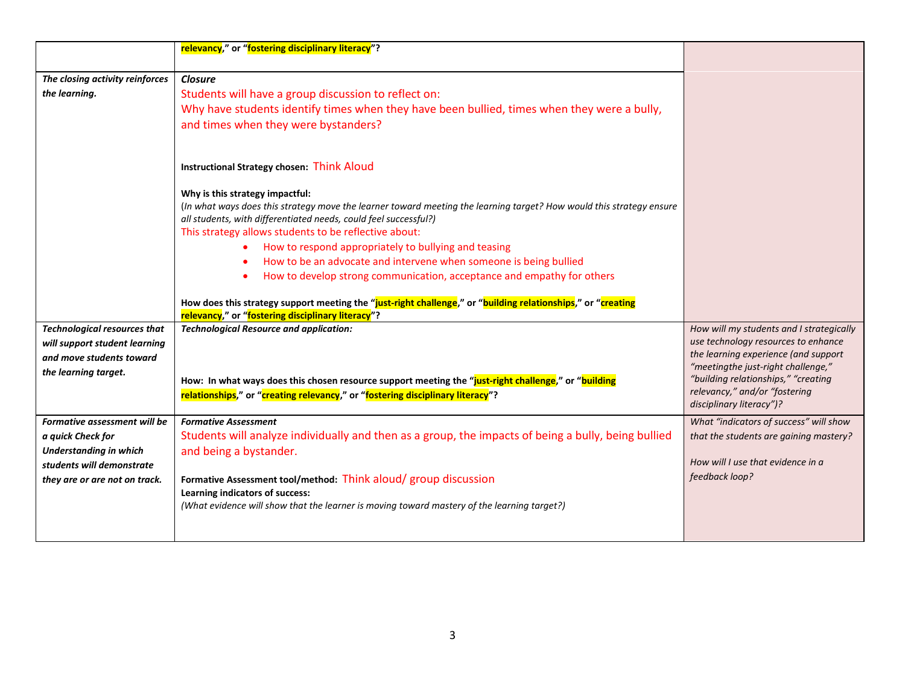|                                     | relevancy," or "fostering disciplinary literacy"?                                                                    |                                                                            |
|-------------------------------------|----------------------------------------------------------------------------------------------------------------------|----------------------------------------------------------------------------|
|                                     |                                                                                                                      |                                                                            |
| The closing activity reinforces     | <b>Closure</b>                                                                                                       |                                                                            |
| the learning.                       | Students will have a group discussion to reflect on:                                                                 |                                                                            |
|                                     | Why have students identify times when they have been bullied, times when they were a bully,                          |                                                                            |
|                                     | and times when they were bystanders?                                                                                 |                                                                            |
|                                     |                                                                                                                      |                                                                            |
|                                     | <b>Instructional Strategy chosen: Think Aloud</b>                                                                    |                                                                            |
|                                     | Why is this strategy impactful:                                                                                      |                                                                            |
|                                     | (In what ways does this strategy move the learner toward meeting the learning target? How would this strategy ensure |                                                                            |
|                                     | all students, with differentiated needs, could feel successful?)                                                     |                                                                            |
|                                     | This strategy allows students to be reflective about:                                                                |                                                                            |
|                                     | How to respond appropriately to bullying and teasing                                                                 |                                                                            |
|                                     | How to be an advocate and intervene when someone is being bullied                                                    |                                                                            |
|                                     | How to develop strong communication, acceptance and empathy for others                                               |                                                                            |
|                                     |                                                                                                                      |                                                                            |
|                                     | How does this strategy support meeting the "just-right challenge," or "building relationships," or "creating         |                                                                            |
|                                     | relevancy," or "fostering disciplinary literacy"?                                                                    |                                                                            |
| <b>Technological resources that</b> | <b>Technological Resource and application:</b>                                                                       | How will my students and I strategically                                   |
| will support student learning       |                                                                                                                      | use technology resources to enhance                                        |
| and move students toward            |                                                                                                                      | the learning experience (and support<br>"meetingthe just-right challenge," |
| the learning target.                | How: In what ways does this chosen resource support meeting the "just-right challenge," or "building                 | "building relationships," "creating                                        |
|                                     | relationships," or "creating relevancy," or "fostering disciplinary literacy"?                                       | relevancy," and/or "fostering                                              |
|                                     |                                                                                                                      | disciplinary literacy")?                                                   |
| Formative assessment will be        | <b>Formative Assessment</b>                                                                                          | What "indicators of success" will show                                     |
| a quick Check for                   | Students will analyze individually and then as a group, the impacts of being a bully, being bullied                  | that the students are gaining mastery?                                     |
| <b>Understanding in which</b>       | and being a bystander.                                                                                               |                                                                            |
| students will demonstrate           |                                                                                                                      | How will I use that evidence in a                                          |
| they are or are not on track.       | Formative Assessment tool/method: Think aloud/ group discussion                                                      | feedback loop?                                                             |
|                                     | Learning indicators of success:                                                                                      |                                                                            |
|                                     | (What evidence will show that the learner is moving toward mastery of the learning target?)                          |                                                                            |
|                                     |                                                                                                                      |                                                                            |
|                                     |                                                                                                                      |                                                                            |